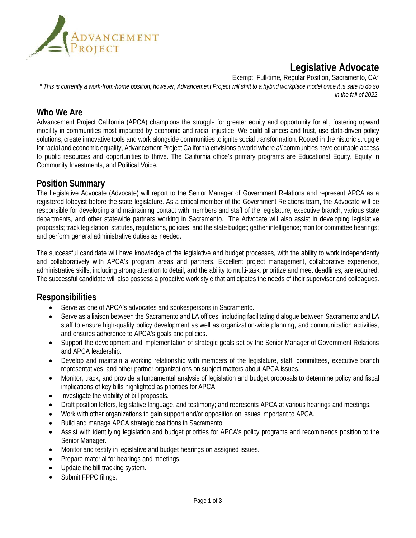

# **Legislative Advocate**

Exempt, Full-time, Regular Position, Sacramento, CA\*

*\* This is currently a work-from-home position; however, Advancement Project will shift to a hybrid workplace model once it is safe to do so in the fall of 2022.*

### **Who We Are**

Advancement Project California (APCA) champions the struggle for greater equity and opportunity for all, fostering upward mobility in communities most impacted by economic and racial injustice. We build alliances and trust, use data-driven policy solutions, create innovative tools and work alongside communities to ignite social transformation. Rooted in the historic struggle for racial and economic equality, Advancement Project California envisions a world where *all* communities have equitable access to public resources and opportunities to thrive. The California office's primary programs are Educational Equity, Equity in Community Investments, and Political Voice.

### **Position Summary**

The Legislative Advocate (Advocate) will report to the Senior Manager of Government Relations and represent APCA as a registered lobbyist before the state legislature. As a critical member of the Government Relations team, the Advocate will be responsible for developing and maintaining contact with members and staff of the legislature, executive branch, various state departments, and other statewide partners working in Sacramento. The Advocate will also assist in developing legislative proposals; track legislation, statutes, regulations, policies, and the state budget; gather intelligence; monitor committee hearings; and perform general administrative duties as needed.

The successful candidate will have knowledge of the legislative and budget processes, with the ability to work independently and collaboratively with APCA's program areas and partners. Excellent project management, collaborative experience, administrative skills, including strong attention to detail, and the ability to multi-task, prioritize and meet deadlines, are required. The successful candidate will also possess a proactive work style that anticipates the needs of their supervisor and colleagues.

### **Responsibilities**

- Serve as one of APCA's advocates and spokespersons in Sacramento.
- Serve as a liaison between the Sacramento and LA offices, including facilitating dialogue between Sacramento and LA staff to ensure high-quality policy development as well as organization-wide planning, and communication activities, and ensures adherence to APCA's goals and policies.
- Support the development and implementation of strategic goals set by the Senior Manager of Government Relations and APCA leadership.
- Develop and maintain a working relationship with members of the legislature, staff, committees, executive branch representatives, and other partner organizations on subject matters about APCA issues.
- Monitor, track, and provide a fundamental analysis of legislation and budget proposals to determine policy and fiscal implications of key bills highlighted as priorities for APCA.
- Investigate the viability of bill proposals.
- Draft position letters, legislative language, and testimony; and represents APCA at various hearings and meetings.
- Work with other organizations to gain support and/or opposition on issues important to APCA.
- Build and manage APCA strategic coalitions in Sacramento.
- Assist with identifying legislation and budget priorities for APCA's policy programs and recommends position to the Senior Manager.
- Monitor and testify in legislative and budget hearings on assigned issues.
- Prepare material for hearings and meetings.
- Update the bill tracking system.
- Submit FPPC filings.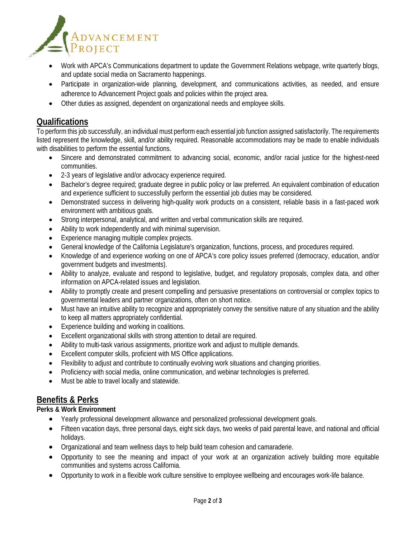

- Work with APCA's Communications department to update the Government Relations webpage, write quarterly blogs, and update social media on Sacramento happenings.
- Participate in organization-wide planning, development, and communications activities, as needed, and ensure adherence to Advancement Project goals and policies within the project area.
- Other duties as assigned, dependent on organizational needs and employee skills.

### **Qualifications**

To perform this job successfully, an individual must perform each essential job function assigned satisfactorily. The requirements listed represent the knowledge, skill, and/or ability required. Reasonable accommodations may be made to enable individuals with disabilities to perform the essential functions.

- Sincere and demonstrated commitment to advancing social, economic, and/or racial justice for the highest-need communities.
- 2-3 years of legislative and/or advocacy experience required.
- Bachelor's degree required; graduate degree in public policy or law preferred. An equivalent combination of education and experience sufficient to successfully perform the essential job duties may be considered.
- Demonstrated success in delivering high-quality work products on a consistent, reliable basis in a fast-paced work environment with ambitious goals.
- Strong interpersonal, analytical, and written and verbal communication skills are required.
- Ability to work independently and with minimal supervision.
- Experience managing multiple complex projects.
- General knowledge of the California Legislature's organization, functions, process, and procedures required.
- Knowledge of and experience working on one of APCA's core policy issues preferred (democracy, education, and/or government budgets and investments).
- Ability to analyze, evaluate and respond to legislative, budget, and regulatory proposals, complex data, and other information on APCA-related issues and legislation.
- Ability to promptly create and present compelling and persuasive presentations on controversial or complex topics to governmental leaders and partner organizations, often on short notice.
- Must have an intuitive ability to recognize and appropriately convey the sensitive nature of any situation and the ability to keep all matters appropriately confidential.
- Experience building and working in coalitions.
- Excellent organizational skills with strong attention to detail are required.
- Ability to multi-task various assignments, prioritize work and adjust to multiple demands.
- Excellent computer skills, proficient with MS Office applications.
- Flexibility to adjust and contribute to continually evolving work situations and changing priorities.
- Proficiency with social media, online communication, and webinar technologies is preferred.
- Must be able to travel locally and statewide.

### **Benefits & Perks**

#### **Perks & Work Environment**

- Yearly professional development allowance and personalized professional development goals.
- Fifteen vacation days, three personal days, eight sick days, two weeks of paid parental leave, and national and official holidays.
- Organizational and team wellness days to help build team cohesion and camaraderie.
- Opportunity to see the meaning and impact of your work at an organization actively building more equitable communities and systems across California.
- Opportunity to work in a flexible work culture sensitive to employee wellbeing and encourages work-life balance.